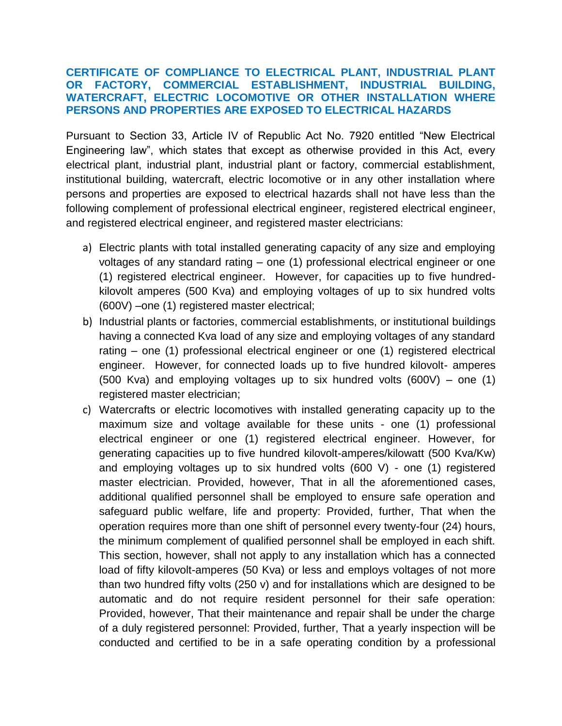### **CERTIFICATE OF COMPLIANCE TO ELECTRICAL PLANT, INDUSTRIAL PLANT OR FACTORY, COMMERCIAL ESTABLISHMENT, INDUSTRIAL BUILDING, WATERCRAFT, ELECTRIC LOCOMOTIVE OR OTHER INSTALLATION WHERE PERSONS AND PROPERTIES ARE EXPOSED TO ELECTRICAL HAZARDS**

Pursuant to Section 33, Article IV of Republic Act No. 7920 entitled "New Electrical Engineering law", which states that except as otherwise provided in this Act, every electrical plant, industrial plant, industrial plant or factory, commercial establishment, institutional building, watercraft, electric locomotive or in any other installation where persons and properties are exposed to electrical hazards shall not have less than the following complement of professional electrical engineer, registered electrical engineer, and registered electrical engineer, and registered master electricians:

- a) Electric plants with total installed generating capacity of any size and employing voltages of any standard rating – one (1) professional electrical engineer or one (1) registered electrical engineer. However, for capacities up to five hundredkilovolt amperes (500 Kva) and employing voltages of up to six hundred volts (600V) –one (1) registered master electrical;
- b) Industrial plants or factories, commercial establishments, or institutional buildings having a connected Kva load of any size and employing voltages of any standard rating – one (1) professional electrical engineer or one (1) registered electrical engineer. However, for connected loads up to five hundred kilovolt- amperes (500 Kva) and employing voltages up to six hundred volts (600V) – one (1) registered master electrician;
- c) Watercrafts or electric locomotives with installed generating capacity up to the maximum size and voltage available for these units - one (1) professional electrical engineer or one (1) registered electrical engineer. However, for generating capacities up to five hundred kilovolt-amperes/kilowatt (500 Kva/Kw) and employing voltages up to six hundred volts (600 V) - one (1) registered master electrician. Provided, however, That in all the aforementioned cases, additional qualified personnel shall be employed to ensure safe operation and safeguard public welfare, life and property: Provided, further, That when the operation requires more than one shift of personnel every twenty-four (24) hours, the minimum complement of qualified personnel shall be employed in each shift. This section, however, shall not apply to any installation which has a connected load of fifty kilovolt-amperes (50 Kva) or less and employs voltages of not more than two hundred fifty volts (250 v) and for installations which are designed to be automatic and do not require resident personnel for their safe operation: Provided, however, That their maintenance and repair shall be under the charge of a duly registered personnel: Provided, further, That a yearly inspection will be conducted and certified to be in a safe operating condition by a professional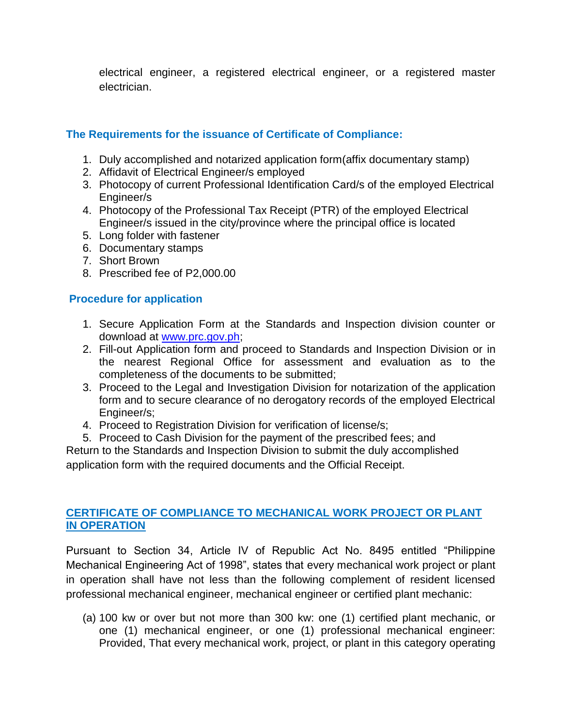electrical engineer, a registered electrical engineer, or a registered master electrician.

## **The Requirements for the issuance of Certificate of Compliance:**

- 1. Duly accomplished and notarized application form(affix documentary stamp)
- 2. Affidavit of Electrical Engineer/s employed
- 3. Photocopy of current Professional Identification Card/s of the employed Electrical Engineer/s
- 4. Photocopy of the Professional Tax Receipt (PTR) of the employed Electrical Engineer/s issued in the city/province where the principal office is located
- 5. Long folder with fastener
- 6. Documentary stamps
- 7. Short Brown
- 8. Prescribed fee of P2,000.00

## **Procedure for application**

- 1. Secure Application Form at the Standards and Inspection division counter or download at [www.prc.gov.ph;](http://www.prc.gov.ph/)
- 2. Fill-out Application form and proceed to Standards and Inspection Division or in the nearest Regional Office for assessment and evaluation as to the completeness of the documents to be submitted;
- 3. Proceed to the Legal and Investigation Division for notarization of the application form and to secure clearance of no derogatory records of the employed Electrical Engineer/s;
- 4. Proceed to Registration Division for verification of license/s;
- 5. Proceed to Cash Division for the payment of the prescribed fees; and

Return to the Standards and Inspection Division to submit the duly accomplished application form with the required documents and the Official Receipt.

## **CERTIFICATE OF COMPLIANCE TO MECHANICAL WORK PROJECT OR PLANT IN OPERATION**

Pursuant to Section 34, Article IV of Republic Act No. 8495 entitled "Philippine Mechanical Engineering Act of 1998", states that every mechanical work project or plant in operation shall have not less than the following complement of resident licensed professional mechanical engineer, mechanical engineer or certified plant mechanic:

(a) 100 kw or over but not more than 300 kw: one (1) certified plant mechanic, or one (1) mechanical engineer, or one (1) professional mechanical engineer: Provided, That every mechanical work, project, or plant in this category operating